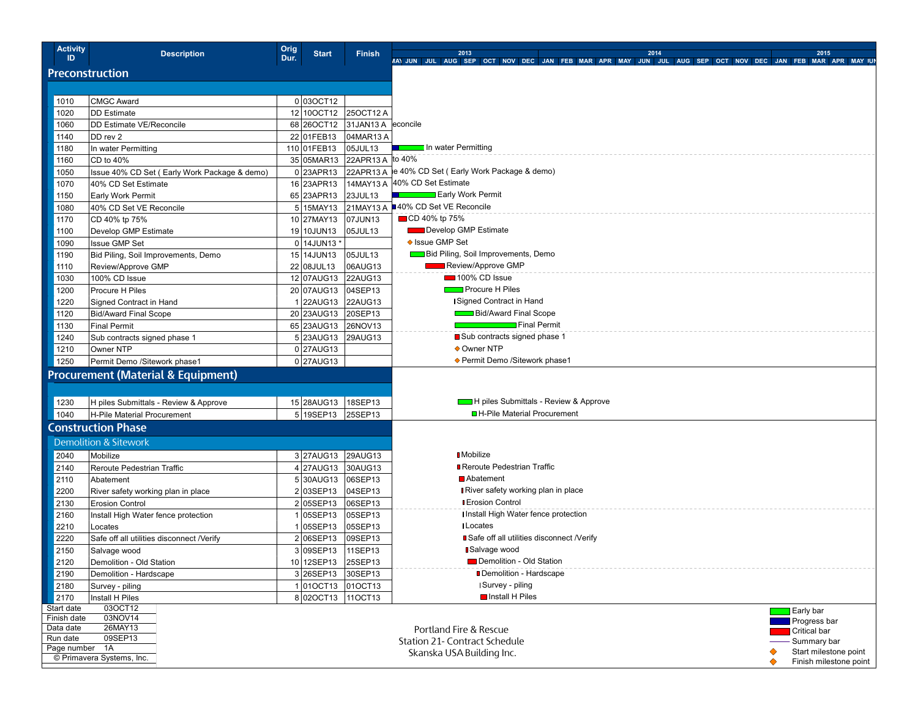| <b>Activity</b><br>ID.                                        | <b>Description</b>                            | Orig<br>Dur. | <b>Start</b>         | <b>Finish</b>                   | 2015<br>2013<br>2014                                                                                    |  |  |
|---------------------------------------------------------------|-----------------------------------------------|--------------|----------------------|---------------------------------|---------------------------------------------------------------------------------------------------------|--|--|
|                                                               |                                               |              |                      |                                 | MAY JUN JUL AUG SEP OCT NOV DEC JAN FEB MAR APR MAY JUN JUL AUG SEP OCT NOV DEC JAN FEB MAR APR MAY JUN |  |  |
| <b>Preconstruction</b>                                        |                                               |              |                      |                                 |                                                                                                         |  |  |
|                                                               |                                               |              |                      |                                 |                                                                                                         |  |  |
| 1010                                                          | CMGC Award                                    |              | 0 030CT12            |                                 |                                                                                                         |  |  |
| 1020                                                          | DD Estimate                                   |              |                      | 12 100CT12 250CT12 A            |                                                                                                         |  |  |
| 1060                                                          | DD Estimate VE/Reconcile                      |              |                      | 68 26 OCT12 31 JAN13 A econcile |                                                                                                         |  |  |
| 1140                                                          | DD rev 2                                      |              | 22 01 FEB13          | 04MAR13 A                       |                                                                                                         |  |  |
| 1180                                                          | In water Permitting                           |              | 110 01 FEB13         | 05JUL13                         | <b>Example 1</b> In water Permitting                                                                    |  |  |
| 1160                                                          | CD to 40%                                     |              |                      | 35 05MAR13 22APR13 A to 40%     |                                                                                                         |  |  |
| 1050                                                          | Issue 40% CD Set (Early Work Package & demo)  |              | 0 23APR13            |                                 | 22APR13 A le 40% CD Set (Early Work Package & demo)                                                     |  |  |
| 1070                                                          | 40% CD Set Estimate                           |              | 16 23APR13           |                                 | 14MAY13 A 40% CD Set Estimate                                                                           |  |  |
| 1150                                                          | Early Work Permit                             |              | 65 23APR13           | $ 23$ JUL13                     | <b>Example 2</b> Early Work Permit                                                                      |  |  |
| 1080                                                          | 40% CD Set VE Reconcile                       |              |                      |                                 | 5 15MAY13 21MAY13 A 40% CD Set VE Reconcile                                                             |  |  |
| 1170                                                          | CD 40% tp 75%                                 |              | 10 27MAY13  07JUN13  |                                 | ■ CD 40% tp 75%                                                                                         |  |  |
| 1100                                                          | Develop GMP Estimate                          |              | 19 10JUN13           | 05JUL13                         | Develop GMP Estimate                                                                                    |  |  |
| 1090                                                          | Issue GMP Set                                 |              | 0 14JUN13 *          |                                 | ◆ Issue GMP Set                                                                                         |  |  |
| 1190                                                          | Bid Piling, Soil Improvements, Demo           |              | 15 14 JUN13          | 05JUL13                         | <b>Bid Piling, Soil Improvements, Demo</b>                                                              |  |  |
| 1110                                                          | Review/Approve GMP                            |              | 22 08 JUL13          | 06AUG13                         | Review/Approve GMP                                                                                      |  |  |
| 1030                                                          | 100% CD Issue                                 |              | 12 07AUG13 22AUG13   |                                 | 100% CD Issue                                                                                           |  |  |
| 1200                                                          | Procure H Piles                               |              | 20 07AUG13 04SEP13   |                                 | <b>Figure</b> Procure H Piles                                                                           |  |  |
| 1220                                                          | Signed Contract in Hand                       |              | 1 22AUG13 22AUG13    |                                 | I Signed Contract in Hand                                                                               |  |  |
| 1120                                                          | <b>Bid/Award Final Scope</b>                  |              | 20 23AUG13 20SEP13   |                                 | <b>Bid/Award Final Scope</b>                                                                            |  |  |
| 1130                                                          | Final Permit                                  |              | 65 23AUG13 26NOV13   |                                 | Final Permit                                                                                            |  |  |
| 1240                                                          | Sub contracts signed phase 1                  |              | 5 23AUG13 29AUG13    |                                 | ■ Sub contracts signed phase 1                                                                          |  |  |
| 1210                                                          | Owner NTP                                     |              | $0$  27AUG13         |                                 | ♦ Owner NTP                                                                                             |  |  |
| 1250                                                          | Permit Demo /Sitework phase1                  |              | $0$  27AUG13         |                                 | ◆ Permit Demo /Sitework phase1                                                                          |  |  |
|                                                               | <b>Procurement (Material &amp; Equipment)</b> |              |                      |                                 |                                                                                                         |  |  |
|                                                               |                                               |              |                      |                                 |                                                                                                         |  |  |
| 1230                                                          | H piles Submittals - Review & Approve         |              | 15 28AUG13   18SEP13 |                                 | H piles Submittals - Review & Approve                                                                   |  |  |
| 1040                                                          | H-Pile Material Procurement                   |              | 5 19SEP13 25SEP13    |                                 | ■ H-Pile Material Procurement                                                                           |  |  |
|                                                               |                                               |              |                      |                                 |                                                                                                         |  |  |
| <b>Construction Phase</b><br><b>Demolition &amp; Sitework</b> |                                               |              |                      |                                 |                                                                                                         |  |  |
|                                                               |                                               |              |                      |                                 |                                                                                                         |  |  |
| 2040                                                          | Mobilize                                      |              | 3 27AUG13 29AUG13    |                                 | <b>I</b> Mobilize                                                                                       |  |  |
| 2140                                                          | Reroute Pedestrian Traffic                    |              | 4 27AUG13 30AUG13    |                                 | <b>B</b> Reroute Pedestrian Traffic                                                                     |  |  |
| 2110                                                          | Abatement                                     |              | 5 30AUG13 06SEP13    |                                 | Abatement                                                                                               |  |  |
| 2200                                                          | River safety working plan in place            |              | 2 03SEP13            | 04SEP13                         | <b>River safety working plan in place</b>                                                               |  |  |
| 2130                                                          | <b>Erosion Control</b>                        |              | 2 05SEP13            | 06SEP13                         | <b>I</b> Erosion Control                                                                                |  |  |
| 2160                                                          | Install High Water fence protection           |              | 05SEP13              | 05SEP13                         | I Install High Water fence protection                                                                   |  |  |
| 2210                                                          | Locates                                       |              | 05SEP13              | 05SEP13                         | <b>I</b> Locates                                                                                        |  |  |
| 2220                                                          | Safe off all utilities disconnect /Verify     |              | 2 06SEP13            | 09SEP13                         | ■ Safe off all utilities disconnect /Verify                                                             |  |  |
| 2150                                                          | Salvage wood                                  |              | 3 09SEP13            | 11SEP13                         | <b>B</b> Salvage wood                                                                                   |  |  |
| 2120                                                          | Demolition - Old Station                      |              | 10 12SEP13           | 25SEP13                         | Demolition - Old Station                                                                                |  |  |
| 2190                                                          | Demolition - Hardscape                        |              | 3 26SEP13            | 30SEP13                         | Demolition - Hardscape                                                                                  |  |  |
| 2180                                                          | Survey - piling                               |              | 1010CT13 010CT13     |                                 | I Survey - piling                                                                                       |  |  |
| 2170                                                          | Install H Piles                               |              | 8020CT13 110CT13     |                                 | Install H Piles                                                                                         |  |  |
| Start date                                                    | 03OCT12                                       |              |                      |                                 | $\Box$ Early bar                                                                                        |  |  |
| Finish date<br>Data date                                      | 03NOV14<br>26MAY13                            |              |                      |                                 | Progress bar                                                                                            |  |  |
| Run date                                                      | 09SEP13                                       |              |                      |                                 | Portland Fire & Rescue<br>Critical bar                                                                  |  |  |
| Page number 1A                                                |                                               |              |                      |                                 | <b>Station 21- Contract Schedule</b><br>Summary bar<br>Start milestone point<br>♦                       |  |  |
|                                                               | © Primavera Systems, Inc.                     |              |                      |                                 | Skanska USA Building Inc.<br>♦<br>Finish milestone point                                                |  |  |
|                                                               |                                               |              |                      |                                 |                                                                                                         |  |  |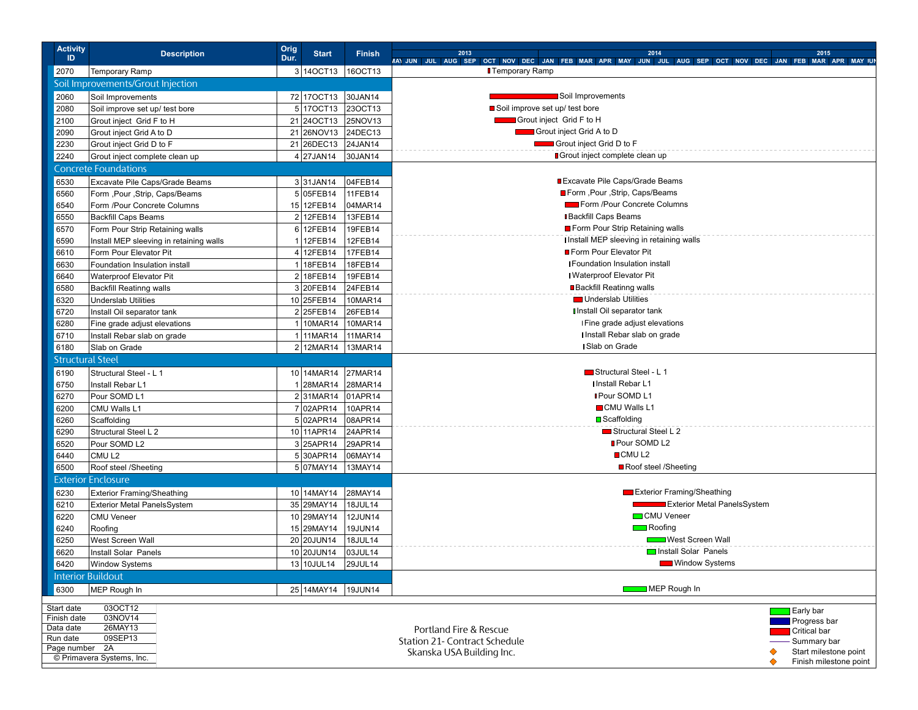| <b>Activity</b><br>ID     | <b>Description</b>                                                        | Orig<br>Dur. | <b>Start</b>           | <b>Finish</b>  | 2013<br>MAIJUN JUL AUG SEP OCT NOV DEC JAN FEB MAR APR MAY JUN JUL AUG SEP OCT NOV DEC JAN FEB MAR APR MAY JUN | 2014                                      |                                    | 2015         |
|---------------------------|---------------------------------------------------------------------------|--------------|------------------------|----------------|----------------------------------------------------------------------------------------------------------------|-------------------------------------------|------------------------------------|--------------|
| 2070                      | <b>Temporary Ramp</b>                                                     |              | 3 140 CT13             | 16OCT13        | <b>T</b> emporary Ramp                                                                                         |                                           |                                    |              |
|                           | Soil Improvements/Grout Injection                                         |              |                        |                |                                                                                                                |                                           |                                    |              |
| 2060                      | Soil Improvements                                                         |              | 72 170CT13 30JAN14     |                | Soil Improvements                                                                                              |                                           |                                    |              |
| 2080                      | Soil improve set up/ test bore                                            |              | 5 17 OCT 13            | 23OCT13        | Soil improve set up/ test bore                                                                                 |                                           |                                    |              |
| 2100                      | Grout inject Grid F to H                                                  |              | 21 240 CT13 25NOV13    |                | Grout inject Grid F to H                                                                                       |                                           |                                    |              |
| 2090                      | Grout inject Grid A to D                                                  |              | 21 26NOV13 24DEC13     |                | Grout inject Grid A to D                                                                                       |                                           |                                    |              |
| 2230                      | Grout inject Grid D to F                                                  |              | 21 26 DEC13 24 JAN14   |                | Grout inject Grid D to F                                                                                       |                                           |                                    |              |
| 2240                      | Grout inject complete clean up                                            |              | $4$ 27JAN14            | 30JAN14        | ■ Grout inject complete clean up                                                                               |                                           |                                    |              |
|                           | <b>Concrete Foundations</b>                                               |              |                        |                |                                                                                                                |                                           |                                    |              |
|                           |                                                                           |              |                        |                |                                                                                                                | Excavate Pile Caps/Grade Beams            |                                    |              |
| 6530                      | Excavate Pile Caps/Grade Beams                                            |              | $3 31$ JAN14           | 04FEB14        |                                                                                                                | ■ Form , Pour , Strip, Caps/Beams         |                                    |              |
| 6560                      | Form ,Pour ,Strip, Caps/Beams                                             |              | $\overline{5}$ 05FEB14 | 11FEB14        |                                                                                                                | Form /Pour Concrete Columns               |                                    |              |
| 6540                      | Form /Pour Concrete Columns                                               |              | 15 12FEB14             | 04MAR14        |                                                                                                                |                                           |                                    |              |
| 6550                      | <b>Backfill Caps Beams</b>                                                |              | 2 12FEB14              | 13FEB14        |                                                                                                                | <b>I</b> Backfill Caps Beams              |                                    |              |
| 6570                      | Form Pour Strip Retaining walls                                           |              | $6 12$ FEB14           | 19FEB14        |                                                                                                                | Form Pour Strip Retaining walls           |                                    |              |
| 6590                      | Install MEP sleeving in retaining walls                                   |              | 1 12FEB14              | 12FEB14        |                                                                                                                | I Install MEP sleeving in retaining walls |                                    |              |
| 6610                      | Form Pour Elevator Pit                                                    |              | 4 12 FEB 14            | 17FEB14        |                                                                                                                | Form Pour Elevator Pit                    |                                    |              |
| 6630                      | Foundation Insulation install                                             |              | 1 18FEB14              | 18FEB14        |                                                                                                                | <b>I Foundation Insulation install</b>    |                                    |              |
| 6640                      | Waterproof Elevator Pit                                                   |              | 2 18FEB14              | 19FEB14        |                                                                                                                | I Waterproof Elevator Pit                 |                                    |              |
| 6580                      | <b>Backfill Reatinng walls</b>                                            |              | 3 20 FEB <sub>14</sub> | 24FEB14        |                                                                                                                | <b>Backfill Reatinng walls</b>            |                                    |              |
| 6320                      | <b>Underslab Utilities</b>                                                |              | 10 25FEB14             | 10MAR14        |                                                                                                                | Underslab Utilities                       |                                    |              |
| 6720                      | Install Oil separator tank                                                |              | 2 25FEB14              | 26FEB14        |                                                                                                                | I Install Oil separator tank              |                                    |              |
| 6280                      | Fine grade adjust elevations                                              |              | 1 10MAR14              | 10MAR14        | I Fine grade adjust elevations                                                                                 |                                           |                                    |              |
| 6710                      | Install Rebar slab on grade                                               |              | 1 11MAR14              | 11MAR14        |                                                                                                                | I Install Rebar slab on grade             |                                    |              |
| 6180                      | Slab on Grade                                                             |              | 2 12MAR14 13MAR14      |                |                                                                                                                | I Slab on Grade                           |                                    |              |
| <b>Structural Steel</b>   |                                                                           |              |                        |                |                                                                                                                |                                           |                                    |              |
| 6190                      | Structural Steel - L 1                                                    |              | 10 14MAR14 27MAR14     |                |                                                                                                                | Structural Steel - L 1                    |                                    |              |
| 6750                      | Install Rebar L1                                                          |              | 1 28MAR14 28MAR14      |                |                                                                                                                | <b>I Install Rebar L1</b>                 |                                    |              |
| 6270                      | Pour SOMD L1                                                              |              | 231MAR14 01APR14       |                |                                                                                                                | <b>I</b> Pour SOMD L1                     |                                    |              |
| 6200                      | CMU Walls L1                                                              |              | 7 02APR14              | 10APR14        |                                                                                                                | CMU Walls L1                              |                                    |              |
| 6260                      | Scaffolding                                                               |              | 5 02APR14              | 08APR14        |                                                                                                                | <b>□</b> Scaffolding                      |                                    |              |
| 6290                      | Structural Steel L 2                                                      |              | 10 11APR14             | 24APR14        |                                                                                                                | Structural Steel L 2                      |                                    |              |
| 6520                      | Pour SOMD L2                                                              |              | 3 25APR14              | 29APR14        |                                                                                                                | Pour SOMD L2                              |                                    |              |
| 6440                      | CMU <sub>L2</sub>                                                         |              | 5 30APR14              | 06MAY14        |                                                                                                                | ■ CMU L2                                  |                                    |              |
| 6500                      | Roof steel /Sheeting                                                      |              | 5 07MAY14              | 13MAY14        |                                                                                                                | Roof steel /Sheeting                      |                                    |              |
|                           | <b>Exterior Enclosure</b>                                                 |              |                        |                |                                                                                                                |                                           |                                    |              |
| 6230                      | <b>Exterior Framing/Sheathing</b>                                         |              | 10 14MAY14             | 28MAY14        |                                                                                                                |                                           | Exterior Framing/Sheathing         |              |
| 6210                      | Exterior Metal PanelsSystem                                               |              | 35 29MAY14             | 18JUL14        |                                                                                                                |                                           | <b>Exterior Metal PanelsSystem</b> |              |
| 6220                      | <b>CMU Veneer</b>                                                         |              | 10 29MAY14             | <b>12JUN14</b> |                                                                                                                | <b>CMU</b> Veneer                         |                                    |              |
| 6240                      | Roofing                                                                   |              | 15 29MAY14             | 19JUN14        |                                                                                                                | Roofing                                   |                                    |              |
| 6250                      | West Screen Wall                                                          |              | 20 20 JUN14            | 18JUL14        |                                                                                                                |                                           | West Screen Wall                   |              |
| 6620                      | Install Solar Panels                                                      |              | 10 20JUN14             | 03JUL14        |                                                                                                                |                                           | Install Solar Panels               |              |
|                           | 6420   Window Systems                                                     |              | $13$ 10JUL14           | 29JUL14        |                                                                                                                |                                           | <b>Window Systems</b>              |              |
|                           | <b>Interior Buildout</b>                                                  |              |                        |                |                                                                                                                |                                           |                                    |              |
| 6300                      | MEP Rough In                                                              |              | 25 14MAY14 19JUN14     |                |                                                                                                                | MEP Rough In                              |                                    |              |
|                           |                                                                           |              |                        |                |                                                                                                                |                                           |                                    |              |
| Start date<br>Finish date | 03OCT12<br>Early bar<br>03NOV14                                           |              |                        |                |                                                                                                                |                                           |                                    |              |
| Data date                 | <b>Progress bar</b><br>26MAY13<br>Portland Fire & Rescue                  |              |                        |                |                                                                                                                |                                           |                                    | Critical bar |
| Run date                  | 09SEP13<br>Station 21- Contract Schedule<br>- Summary bar                 |              |                        |                |                                                                                                                |                                           |                                    |              |
|                           | Page number 2A<br>Start milestone point<br>♦<br>Skanska USA Building Inc. |              |                        |                |                                                                                                                |                                           |                                    |              |
|                           | © Primavera Systems, Inc.<br>Finish milestone point                       |              |                        |                |                                                                                                                |                                           |                                    |              |